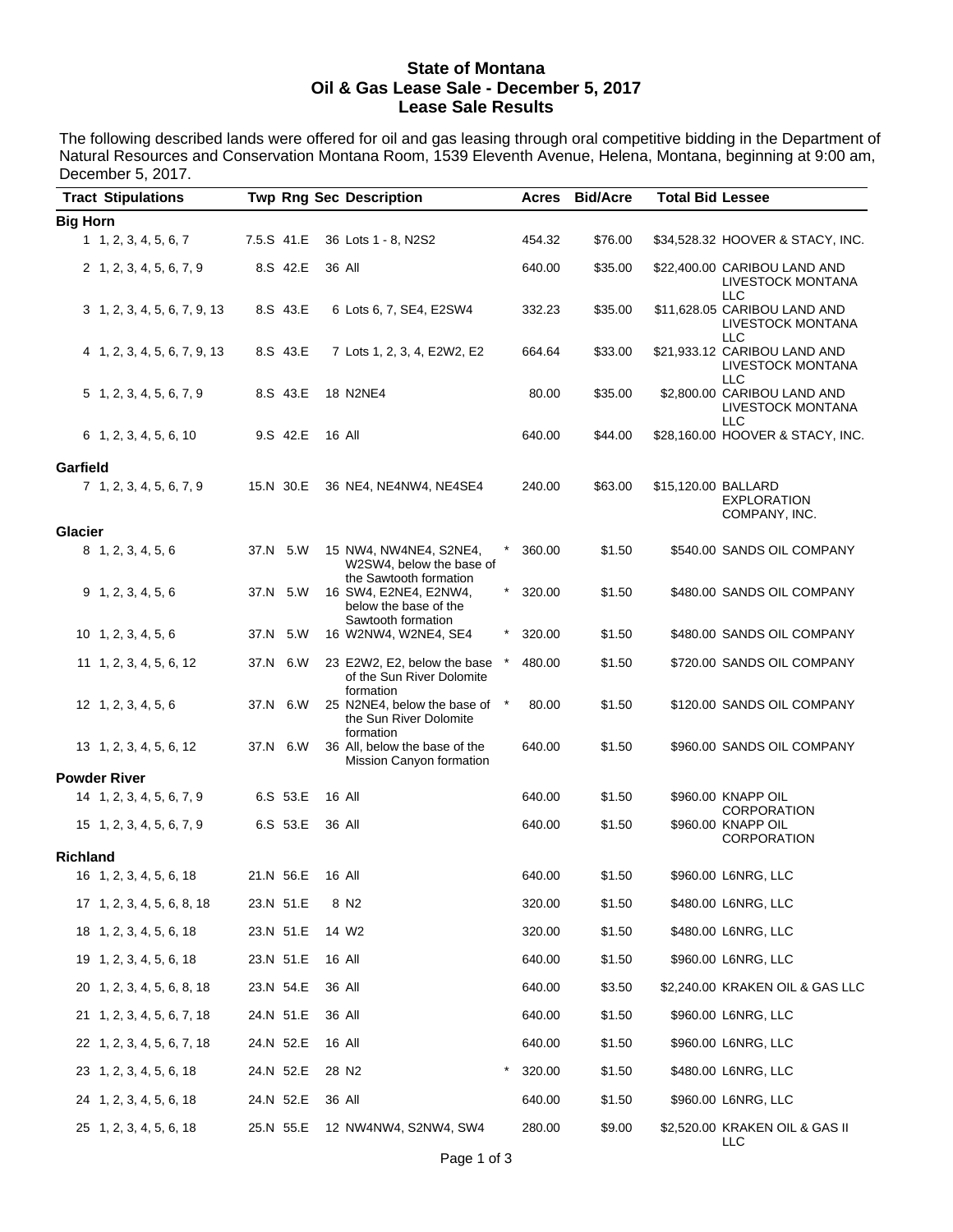#### **State of Montana Oil & Gas Lease Sale - December 5, 2017 Lease Sale Results**

The following described lands were offered for oil and gas leasing through oral competitive bidding in the Department of Natural Resources and Conservation Montana Room, 1539 Eleventh Avenue, Helena, Montana, beginning at 9:00 am, December 5, 2017.

| <b>Tract Stipulations</b>    |             |               | <b>Twp Rng Sec Description</b>                                               |          | Acres  | <b>Bid/Acre</b> | <b>Total Bid Lessee</b> |                                                                 |
|------------------------------|-------------|---------------|------------------------------------------------------------------------------|----------|--------|-----------------|-------------------------|-----------------------------------------------------------------|
| <b>Big Horn</b>              |             |               |                                                                              |          |        |                 |                         |                                                                 |
| 1, 2, 3, 4, 5, 6, 7          | 7.5.S 41.E  |               | 36 Lots 1 - 8, N2S2                                                          |          | 454.32 | \$76.00         |                         | \$34,528.32 HOOVER & STACY, INC.                                |
| 2 1, 2, 3, 4, 5, 6, 7, 9     | 8.S 42.E    | 36 All        |                                                                              |          | 640.00 | \$35.00         |                         | \$22,400.00 CARIBOU LAND AND<br>LIVESTOCK MONTANA<br><b>LLC</b> |
| 3 1, 2, 3, 4, 5, 6, 7, 9, 13 | 8.S 43.E    |               | 6 Lots 6, 7, SE4, E2SW4                                                      |          | 332.23 | \$35.00         |                         | \$11,628.05 CARIBOU LAND AND<br>LIVESTOCK MONTANA<br><b>LLC</b> |
| 4 1, 2, 3, 4, 5, 6, 7, 9, 13 | 8.S 43.E    |               | 7 Lots 1, 2, 3, 4, E2W2, E2                                                  |          | 664.64 | \$33.00         |                         | \$21,933.12 CARIBOU LAND AND<br>LIVESTOCK MONTANA<br><b>LLC</b> |
| 5 1, 2, 3, 4, 5, 6, 7, 9     | 8.S 43.E    |               | 18 N2NE4                                                                     |          | 80.00  | \$35.00         |                         | \$2,800.00 CARIBOU LAND AND<br><b>LIVESTOCK MONTANA</b><br>LLC  |
| $6$ 1, 2, 3, 4, 5, 6, 10     | 9.S 42.E    | 16 All        |                                                                              |          | 640.00 | \$44.00         |                         | \$28,160.00 HOOVER & STACY, INC.                                |
| Garfield                     |             |               |                                                                              |          |        |                 |                         |                                                                 |
| 7 1, 2, 3, 4, 5, 6, 7, 9     | 15.N 30.E   |               | 36 NE4, NE4NW4, NE4SE4                                                       |          | 240.00 | \$63.00         | \$15,120.00 BALLARD     | <b>EXPLORATION</b><br>COMPANY, INC.                             |
| <b>Glacier</b>               |             |               |                                                                              |          |        |                 |                         |                                                                 |
| 8 1, 2, 3, 4, 5, 6           | 37.N 5.W    |               | 15 NW4, NW4NE4, S2NE4,<br>W2SW4, below the base of<br>the Sawtooth formation | $^\star$ | 360.00 | \$1.50          |                         | \$540.00 SANDS OIL COMPANY                                      |
| $9$ 1, 2, 3, 4, 5, 6         | 37.N 5.W    |               | 16 SW4, E2NE4, E2NW4,<br>below the base of the<br>Sawtooth formation         | $^\star$ | 320.00 | \$1.50          |                         | \$480.00 SANDS OIL COMPANY                                      |
| 10 1, 2, 3, 4, 5, 6          | 37.N<br>5.W |               | 16 W2NW4, W2NE4, SE4                                                         |          | 320.00 | \$1.50          |                         | \$480.00 SANDS OIL COMPANY                                      |
| 11 1, 2, 3, 4, 5, 6, 12      | 6.W<br>37.N |               | 23 E2W2, E2, below the base<br>of the Sun River Dolomite<br>formation        |          | 480.00 | \$1.50          |                         | \$720.00 SANDS OIL COMPANY                                      |
| 12 1, 2, 3, 4, 5, 6          | 37.N 6.W    |               | 25 N2NE4, below the base of<br>the Sun River Dolomite<br>formation           | $^\star$ | 80.00  | \$1.50          |                         | \$120.00 SANDS OIL COMPANY                                      |
| 13 1, 2, 3, 4, 5, 6, 12      | 37.N 6.W    |               | 36 All, below the base of the<br>Mission Canyon formation                    |          | 640.00 | \$1.50          |                         | \$960.00 SANDS OIL COMPANY                                      |
| <b>Powder River</b>          |             |               |                                                                              |          |        |                 |                         |                                                                 |
| 14 1, 2, 3, 4, 5, 6, 7, 9    | 6.S 53.E    | 16 All        |                                                                              |          | 640.00 | \$1.50          |                         | \$960.00 KNAPP OIL<br><b>CORPORATION</b>                        |
| 15 1, 2, 3, 4, 5, 6, 7, 9    | 6.S 53.E    | 36 All        |                                                                              |          | 640.00 | \$1.50          |                         | \$960.00 KNAPP OIL<br>CORPORATION                               |
| <b>Richland</b>              |             |               |                                                                              |          |        |                 |                         |                                                                 |
| 16 1, 2, 3, 4, 5, 6, 18      | 21.N 56.E   | <b>16 All</b> |                                                                              |          | 640.00 | \$1.50          |                         | \$960.00 L6NRG, LLC                                             |
| 17 1, 2, 3, 4, 5, 6, 8, 18   | 23.N 51.E   |               | 8 N2                                                                         |          | 320.00 | \$1.50          |                         | \$480.00 L6NRG, LLC                                             |
| 18 1, 2, 3, 4, 5, 6, 18      | 23.N 51.E   |               | 14 W <sub>2</sub>                                                            |          | 320.00 | \$1.50          |                         | \$480.00 L6NRG, LLC                                             |
| 19 1, 2, 3, 4, 5, 6, 18      | 23.N 51.E   |               | 16 All                                                                       |          | 640.00 | \$1.50          |                         | \$960.00 L6NRG, LLC                                             |
| 20 1, 2, 3, 4, 5, 6, 8, 18   | 23.N 54.E   | 36 All        |                                                                              |          | 640.00 | \$3.50          |                         | \$2,240.00 KRAKEN OIL & GAS LLC                                 |
| 21 1, 2, 3, 4, 5, 6, 7, 18   | 24.N 51.E   |               | 36 All                                                                       |          | 640.00 | \$1.50          |                         | \$960.00 L6NRG, LLC                                             |
| 22 1, 2, 3, 4, 5, 6, 7, 18   | 24.N 52.E   |               | 16 All                                                                       |          | 640.00 | \$1.50          |                         | \$960.00 L6NRG, LLC                                             |
| 23 1, 2, 3, 4, 5, 6, 18      | 24.N 52.E   |               | 28 N <sub>2</sub>                                                            | *        | 320.00 | \$1.50          |                         | \$480.00 L6NRG, LLC                                             |
| 24 1, 2, 3, 4, 5, 6, 18      | 24.N 52.E   | 36 All        |                                                                              |          | 640.00 | \$1.50          |                         | \$960.00 L6NRG, LLC                                             |
| 25 1, 2, 3, 4, 5, 6, 18      | 25.N 55.E   |               | 12 NW4NW4, S2NW4, SW4                                                        |          | 280.00 | \$9.00          |                         | \$2,520.00 KRAKEN OIL & GAS II<br>LLC                           |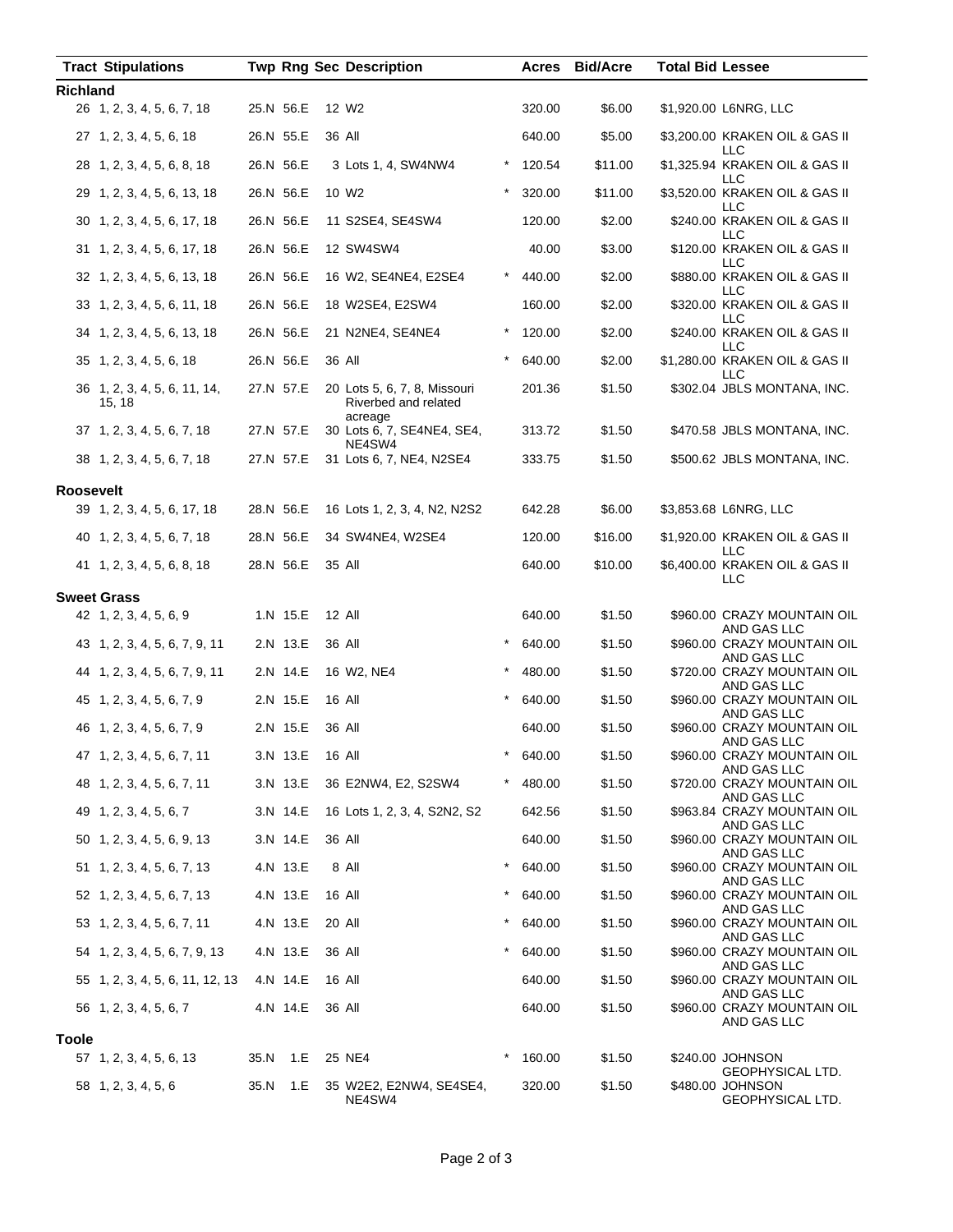| <b>Tract Stipulations</b>              |           | <b>Twp Rng Sec Description</b>                                  |          | Acres  | <b>Bid/Acre</b> | <b>Total Bid Lessee</b> |                                                          |
|----------------------------------------|-----------|-----------------------------------------------------------------|----------|--------|-----------------|-------------------------|----------------------------------------------------------|
| <b>Richland</b>                        |           |                                                                 |          |        |                 |                         |                                                          |
| 26 1, 2, 3, 4, 5, 6, 7, 18             | 25.N 56.E | 12 W <sub>2</sub>                                               |          | 320.00 | \$6.00          |                         | \$1,920.00 L6NRG, LLC                                    |
| 27 1, 2, 3, 4, 5, 6, 18                | 26.N 55.E | 36 All                                                          |          | 640.00 | \$5.00          |                         | \$3,200.00 KRAKEN OIL & GAS II<br><b>LLC</b>             |
| 28 1, 2, 3, 4, 5, 6, 8, 18             | 26.N 56.E | 3 Lots 1, 4, SW4NW4                                             |          | 120.54 | \$11.00         |                         | \$1,325.94 KRAKEN OIL & GAS II<br>LLC                    |
| 29 1, 2, 3, 4, 5, 6, 13, 18            | 26.N 56.E | 10 W <sub>2</sub>                                               |          | 320.00 | \$11.00         |                         | \$3,520.00 KRAKEN OIL & GAS II<br><b>LLC</b>             |
| 30 1, 2, 3, 4, 5, 6, 17, 18            | 26.N 56.E | 11 S2SE4, SE4SW4                                                |          | 120.00 | \$2.00          |                         | \$240.00 KRAKEN OIL & GAS II<br><b>LLC</b>               |
| 31 1, 2, 3, 4, 5, 6, 17, 18            | 26.N 56.E | 12 SW4SW4                                                       |          | 40.00  | \$3.00          |                         | \$120.00 KRAKEN OIL & GAS II<br>LLC                      |
| 32 1, 2, 3, 4, 5, 6, 13, 18            | 26.N 56.E | 16 W2, SE4NE4, E2SE4                                            |          | 440.00 | \$2.00          |                         | \$880.00 KRAKEN OIL & GAS II<br>LLC                      |
| 33 1, 2, 3, 4, 5, 6, 11, 18            | 26.N 56.E | 18 W2SE4, E2SW4                                                 |          | 160.00 | \$2.00          |                         | \$320.00 KRAKEN OIL & GAS II<br>LLC                      |
| 34 1, 2, 3, 4, 5, 6, 13, 18            | 26.N 56.E | 21 N2NE4, SE4NE4                                                | *        | 120.00 | \$2.00          |                         | \$240.00 KRAKEN OIL & GAS II<br><b>LLC</b>               |
| 35 1, 2, 3, 4, 5, 6, 18                | 26.N 56.E | 36 All                                                          | $\star$  | 640.00 | \$2.00          |                         | \$1,280.00 KRAKEN OIL & GAS II<br><b>LLC</b>             |
| 36 1, 2, 3, 4, 5, 6, 11, 14,<br>15, 18 | 27.N 57.E | 20 Lots 5, 6, 7, 8, Missouri<br>Riverbed and related<br>acreage |          | 201.36 | \$1.50          |                         | \$302.04 JBLS MONTANA, INC.                              |
| 37 1, 2, 3, 4, 5, 6, 7, 18             | 27.N 57.E | 30 Lots 6, 7, SE4NE4, SE4,<br>NE4SW4                            |          | 313.72 | \$1.50          |                         | \$470.58 JBLS MONTANA, INC.                              |
| 38 1, 2, 3, 4, 5, 6, 7, 18             | 27.N 57.E | 31 Lots 6, 7, NE4, N2SE4                                        |          | 333.75 | \$1.50          |                         | \$500.62 JBLS MONTANA, INC.                              |
| <b>Roosevelt</b>                       |           |                                                                 |          |        |                 |                         |                                                          |
| 39 1, 2, 3, 4, 5, 6, 17, 18            | 28.N 56.E | 16 Lots 1, 2, 3, 4, N2, N2S2                                    |          | 642.28 | \$6.00          |                         | \$3,853.68 L6NRG, LLC                                    |
| 40 1, 2, 3, 4, 5, 6, 7, 18             | 28.N 56.E | 34 SW4NE4, W2SE4                                                |          | 120.00 | \$16.00         |                         | \$1,920.00 KRAKEN OIL & GAS II<br><b>LLC</b>             |
| 41 1, 2, 3, 4, 5, 6, 8, 18             | 28.N 56.E | 35 All                                                          |          | 640.00 | \$10.00         |                         | \$6,400.00 KRAKEN OIL & GAS II<br>LLC                    |
| <b>Sweet Grass</b>                     |           |                                                                 |          |        |                 |                         |                                                          |
| 42 1, 2, 3, 4, 5, 6, 9                 | 1.N 15.E  | 12 All                                                          |          | 640.00 | \$1.50          |                         | \$960.00 CRAZY MOUNTAIN OIL<br>AND GAS LLC               |
| 43 1, 2, 3, 4, 5, 6, 7, 9, 11          | 2.N 13.E  | 36 All                                                          |          | 640.00 | \$1.50          |                         | \$960.00 CRAZY MOUNTAIN OIL<br>AND GAS LLC               |
| 44 1, 2, 3, 4, 5, 6, 7, 9, 11          | 2.N 14.E  | 16 W2, NE4                                                      |          | 480.00 | \$1.50          |                         | \$720.00 CRAZY MOUNTAIN OIL<br>AND GAS LLC               |
| 45 1, 2, 3, 4, 5, 6, 7, 9              | 2.N 15.E  | 16 All                                                          |          | 640.00 | \$1.50          |                         | \$960.00 CRAZY MOUNTAIN OIL<br>AND GAS LLC               |
| 46 1, 2, 3, 4, 5, 6, 7, 9              | 2.N 15.E  | 36 All                                                          |          | 640.00 | \$1.50          |                         | \$960.00 CRAZY MOUNTAIN OIL<br>AND GAS LLC               |
| 47 1, 2, 3, 4, 5, 6, 7, 11             | 3.N 13.E  | 16 All                                                          |          | 640.00 | \$1.50          |                         | \$960.00 CRAZY MOUNTAIN OIL<br>AND GAS LLC               |
| 48 1, 2, 3, 4, 5, 6, 7, 11             | 3.N 13.E  | 36 E2NW4, E2, S2SW4                                             |          | 480.00 | \$1.50          |                         | \$720.00 CRAZY MOUNTAIN OIL<br>AND GAS LLC               |
| 49 1, 2, 3, 4, 5, 6, 7                 | 3.N 14.E  | 16 Lots 1, 2, 3, 4, S2N2, S2                                    |          | 642.56 | \$1.50          |                         | \$963.84 CRAZY MOUNTAIN OIL<br>AND GAS LLC               |
| 50 1, 2, 3, 4, 5, 6, 9, 13             | 3.N 14.E  | 36 All                                                          |          | 640.00 | \$1.50          |                         | \$960.00 CRAZY MOUNTAIN OIL<br>AND GAS LLC               |
| 51 1, 2, 3, 4, 5, 6, 7, 13             | 4.N 13.E  | 8 All                                                           | $\star$  | 640.00 | \$1.50          |                         | \$960.00 CRAZY MOUNTAIN OIL<br>AND GAS LLC               |
| 52 1, 2, 3, 4, 5, 6, 7, 13             | 4.N 13.E  | 16 All                                                          | $^\star$ | 640.00 | \$1.50          |                         | \$960.00 CRAZY MOUNTAIN OIL<br>AND GAS LLC               |
| 53 1, 2, 3, 4, 5, 6, 7, 11             | 4.N 13.E  | 20 All                                                          | $\star$  | 640.00 | \$1.50          |                         | \$960.00 CRAZY MOUNTAIN OIL<br>AND GAS LLC               |
| 54 1, 2, 3, 4, 5, 6, 7, 9, 13          | 4.N 13.E  | 36 All                                                          | $^\star$ | 640.00 | \$1.50          |                         | \$960.00 CRAZY MOUNTAIN OIL                              |
| 55 1, 2, 3, 4, 5, 6, 11, 12, 13        | 4.N 14.E  | 16 All                                                          |          | 640.00 | \$1.50          |                         | AND GAS LLC<br>\$960.00 CRAZY MOUNTAIN OIL               |
| 56 1, 2, 3, 4, 5, 6, 7                 | 4.N 14.E  | 36 All                                                          |          | 640.00 | \$1.50          |                         | AND GAS LLC<br>\$960.00 CRAZY MOUNTAIN OIL               |
| <b>Toole</b>                           |           |                                                                 |          |        |                 |                         | AND GAS LLC                                              |
| 57 1, 2, 3, 4, 5, 6, 13                | 35.N 1.E  | 25 NE4                                                          | $^\star$ | 160.00 | \$1.50          |                         | \$240.00 JOHNSON                                         |
| 58 1, 2, 3, 4, 5, 6                    | 35.N 1.E  | 35 W2E2, E2NW4, SE4SE4,<br>NE4SW4                               |          | 320.00 | \$1.50          |                         | GEOPHYSICAL LTD.<br>\$480.00 JOHNSON<br>GEOPHYSICAL LTD. |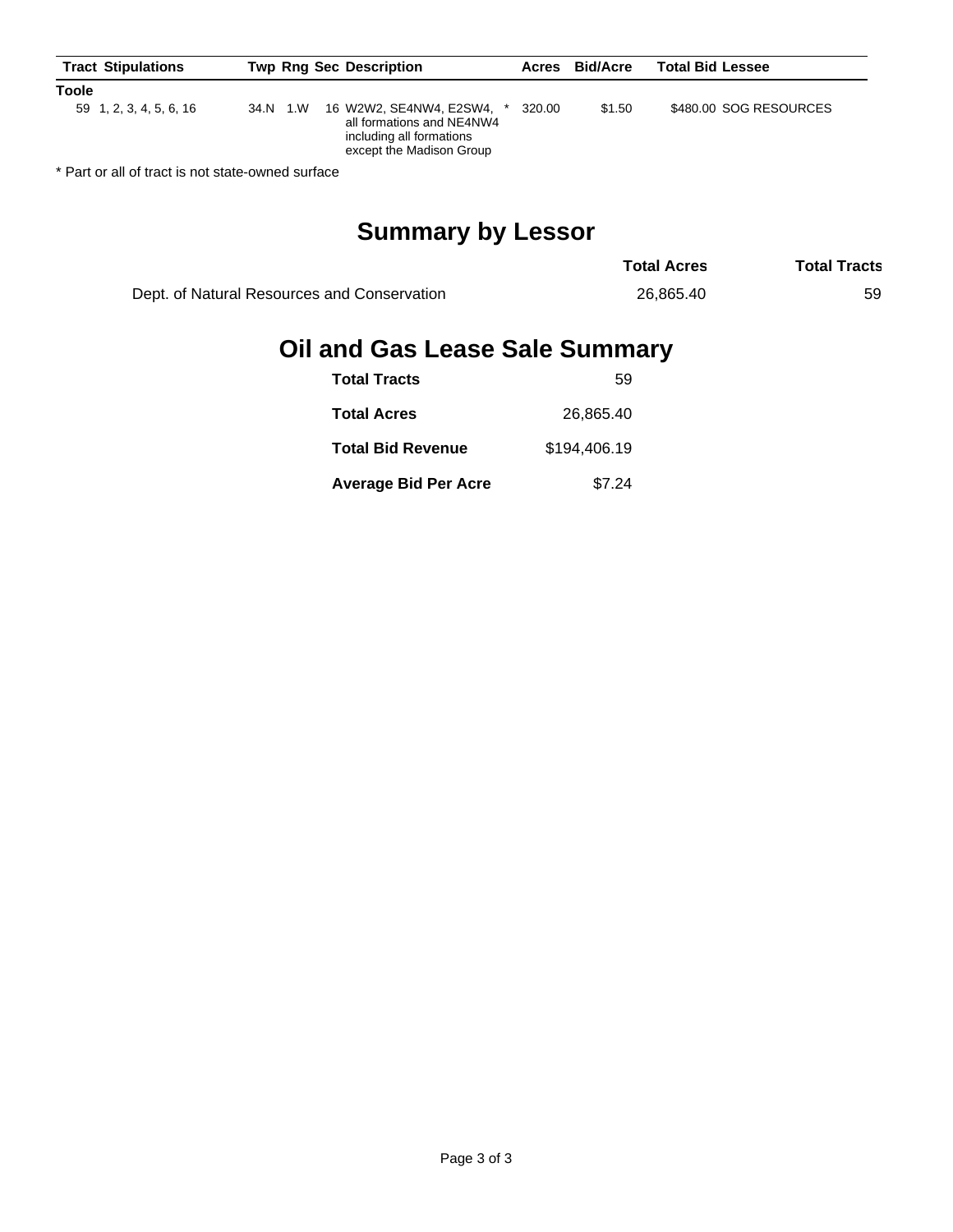| <b>Toole</b><br>16 W2W2, SE4NW4, E2SW4,<br>\$1.50<br>320.00<br>34.N 1.W<br>59 1, 2, 3, 4, 5, 6, 16<br>all formations and NE4NW4 | <b>Total Bid Lessee</b> | <b>Bid/Acre</b> | Acres | <b>Twp Rng Sec Description</b> |  | <b>Tract Stipulations</b> |  |
|---------------------------------------------------------------------------------------------------------------------------------|-------------------------|-----------------|-------|--------------------------------|--|---------------------------|--|
|                                                                                                                                 |                         |                 |       |                                |  |                           |  |
| except the Madison Group                                                                                                        | \$480.00 SOG RESOURCES  |                 |       | including all formations       |  |                           |  |

\* Part or all of tract is not state-owned surface

# **Summary by Lessor**

|                                             | <b>Total Acres</b> | <b>Total Tracts</b> |
|---------------------------------------------|--------------------|---------------------|
| Dept. of Natural Resources and Conservation | 26.865.40          | 59                  |

# **Oil and Gas Lease Sale Summary**

| <b>Total Tracts</b>         | 59           |
|-----------------------------|--------------|
| <b>Total Acres</b>          | 26.865.40    |
| <b>Total Bid Revenue</b>    | \$194,406.19 |
| <b>Average Bid Per Acre</b> | \$7.24       |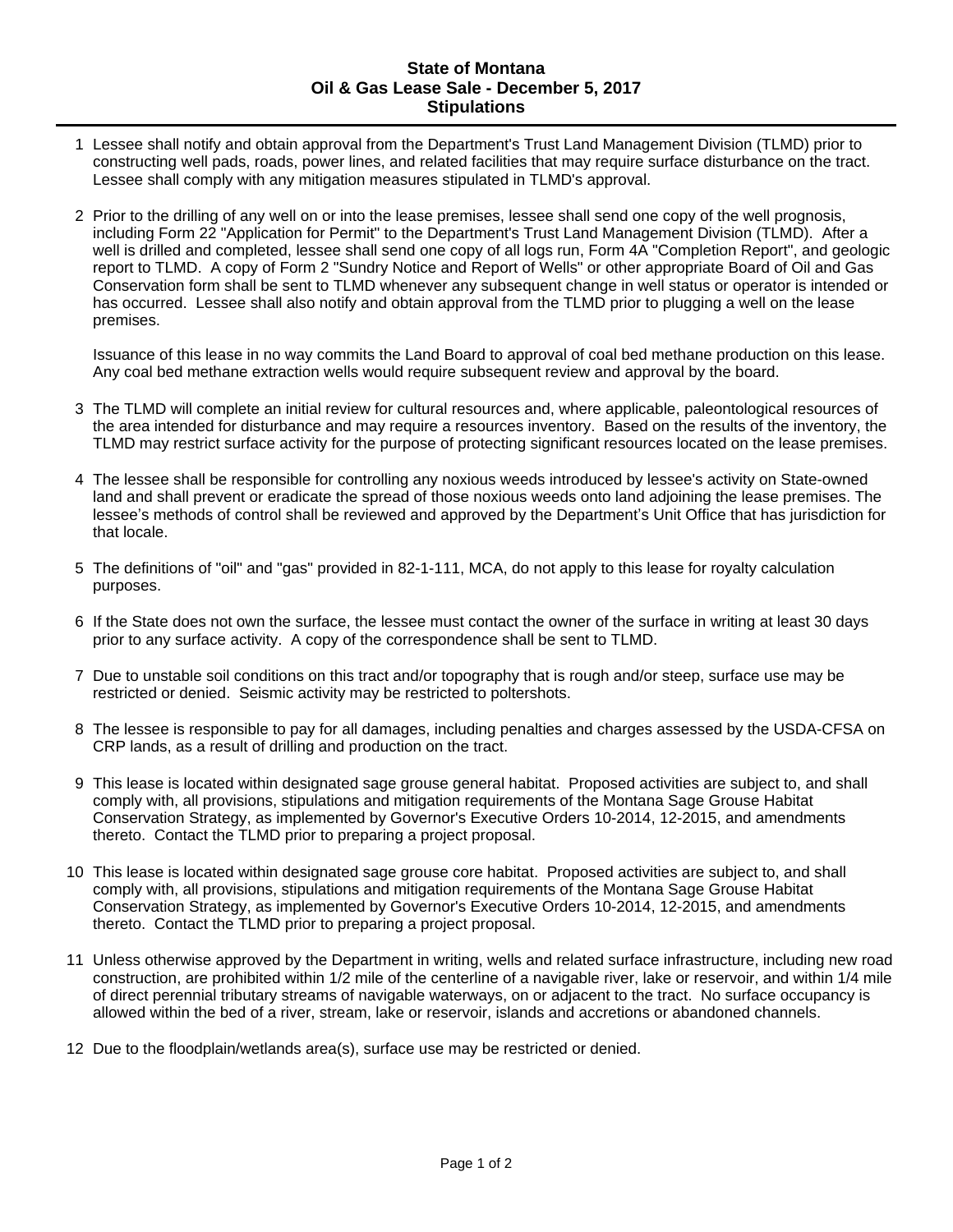#### **State of Montana Oil & Gas Lease Sale - December 5, 2017 Stipulations**

- 1 Lessee shall notify and obtain approval from the Department's Trust Land Management Division (TLMD) prior to constructing well pads, roads, power lines, and related facilities that may require surface disturbance on the tract. Lessee shall comply with any mitigation measures stipulated in TLMD's approval.
- 2 Prior to the drilling of any well on or into the lease premises, lessee shall send one copy of the well prognosis, including Form 22 "Application for Permit" to the Department's Trust Land Management Division (TLMD). After a well is drilled and completed, lessee shall send one copy of all logs run, Form 4A "Completion Report", and geologic report to TLMD. A copy of Form 2 "Sundry Notice and Report of Wells" or other appropriate Board of Oil and Gas Conservation form shall be sent to TLMD whenever any subsequent change in well status or operator is intended or has occurred. Lessee shall also notify and obtain approval from the TLMD prior to plugging a well on the lease premises.

Issuance of this lease in no way commits the Land Board to approval of coal bed methane production on this lease. Any coal bed methane extraction wells would require subsequent review and approval by the board.

- 3 The TLMD will complete an initial review for cultural resources and, where applicable, paleontological resources of the area intended for disturbance and may require a resources inventory. Based on the results of the inventory, the TLMD may restrict surface activity for the purpose of protecting significant resources located on the lease premises.
- 4 The lessee shall be responsible for controlling any noxious weeds introduced by lessee's activity on State-owned land and shall prevent or eradicate the spread of those noxious weeds onto land adjoining the lease premises. The lessee's methods of control shall be reviewed and approved by the Department's Unit Office that has jurisdiction for that locale.
- 5 The definitions of "oil" and "gas" provided in 82-1-111, MCA, do not apply to this lease for royalty calculation purposes.
- 6 If the State does not own the surface, the lessee must contact the owner of the surface in writing at least 30 days prior to any surface activity. A copy of the correspondence shall be sent to TLMD.
- 7 Due to unstable soil conditions on this tract and/or topography that is rough and/or steep, surface use may be restricted or denied. Seismic activity may be restricted to poltershots.
- 8 The lessee is responsible to pay for all damages, including penalties and charges assessed by the USDA-CFSA on CRP lands, as a result of drilling and production on the tract.
- 9 This lease is located within designated sage grouse general habitat. Proposed activities are subject to, and shall comply with, all provisions, stipulations and mitigation requirements of the Montana Sage Grouse Habitat Conservation Strategy, as implemented by Governor's Executive Orders 10-2014, 12-2015, and amendments thereto. Contact the TLMD prior to preparing a project proposal.
- 10 This lease is located within designated sage grouse core habitat. Proposed activities are subject to, and shall comply with, all provisions, stipulations and mitigation requirements of the Montana Sage Grouse Habitat Conservation Strategy, as implemented by Governor's Executive Orders 10-2014, 12-2015, and amendments thereto. Contact the TLMD prior to preparing a project proposal.
- 11 Unless otherwise approved by the Department in writing, wells and related surface infrastructure, including new road construction, are prohibited within 1/2 mile of the centerline of a navigable river, lake or reservoir, and within 1/4 mile of direct perennial tributary streams of navigable waterways, on or adjacent to the tract. No surface occupancy is allowed within the bed of a river, stream, lake or reservoir, islands and accretions or abandoned channels.
- 12 Due to the floodplain/wetlands area(s), surface use may be restricted or denied.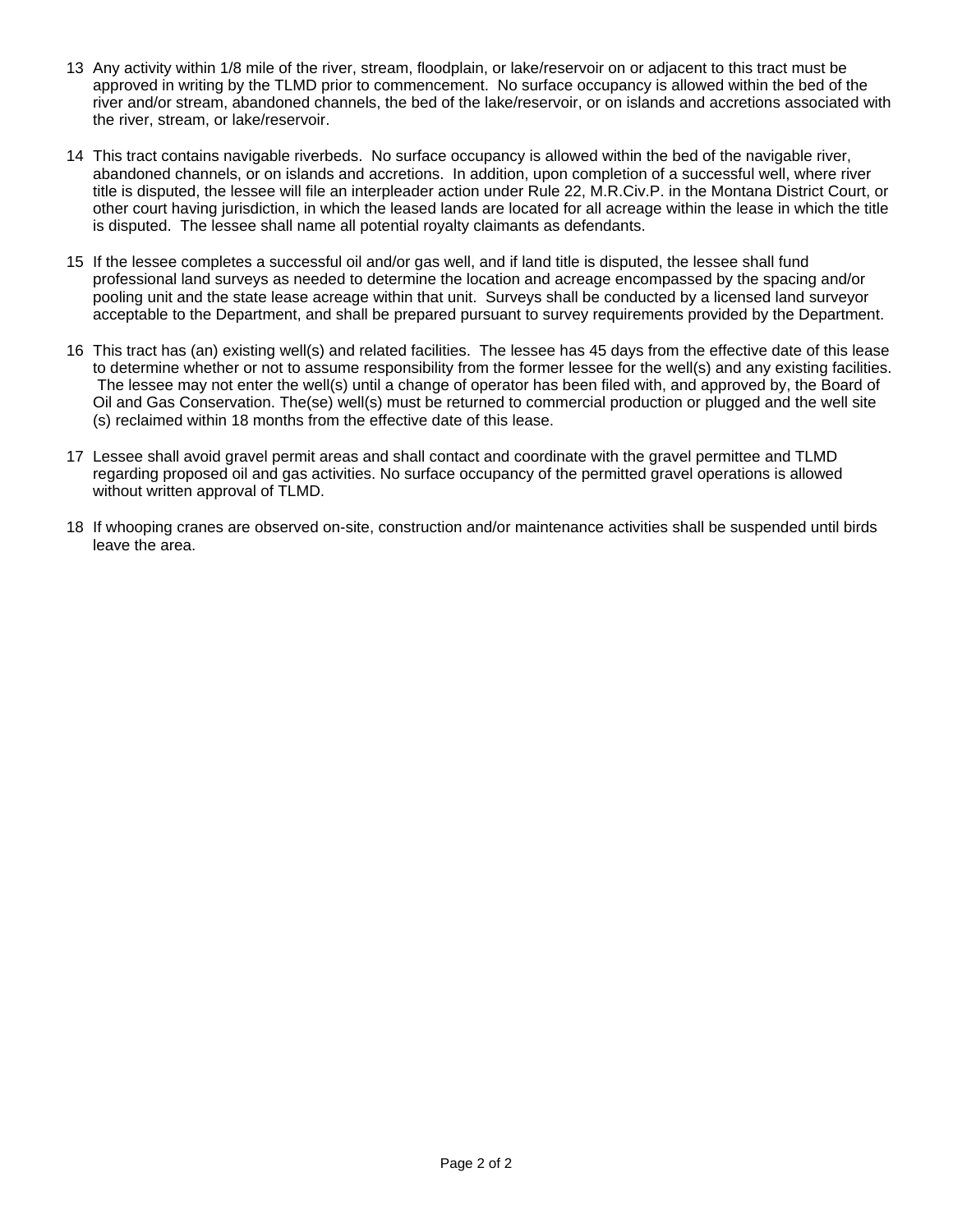- 13 Any activity within 1/8 mile of the river, stream, floodplain, or lake/reservoir on or adjacent to this tract must be approved in writing by the TLMD prior to commencement. No surface occupancy is allowed within the bed of the river and/or stream, abandoned channels, the bed of the lake/reservoir, or on islands and accretions associated with the river, stream, or lake/reservoir.
- 14 This tract contains navigable riverbeds. No surface occupancy is allowed within the bed of the navigable river, abandoned channels, or on islands and accretions. In addition, upon completion of a successful well, where river title is disputed, the lessee will file an interpleader action under Rule 22, M.R.Civ.P. in the Montana District Court, or other court having jurisdiction, in which the leased lands are located for all acreage within the lease in which the title is disputed. The lessee shall name all potential royalty claimants as defendants.
- 15 If the lessee completes a successful oil and/or gas well, and if land title is disputed, the lessee shall fund professional land surveys as needed to determine the location and acreage encompassed by the spacing and/or pooling unit and the state lease acreage within that unit. Surveys shall be conducted by a licensed land surveyor acceptable to the Department, and shall be prepared pursuant to survey requirements provided by the Department.
- 16 This tract has (an) existing well(s) and related facilities. The lessee has 45 days from the effective date of this lease to determine whether or not to assume responsibility from the former lessee for the well(s) and any existing facilities. The lessee may not enter the well(s) until a change of operator has been filed with, and approved by, the Board of Oil and Gas Conservation. The(se) well(s) must be returned to commercial production or plugged and the well site (s) reclaimed within 18 months from the effective date of this lease.
- 17 Lessee shall avoid gravel permit areas and shall contact and coordinate with the gravel permittee and TLMD regarding proposed oil and gas activities. No surface occupancy of the permitted gravel operations is allowed without written approval of TLMD.
- 18 If whooping cranes are observed on-site, construction and/or maintenance activities shall be suspended until birds leave the area.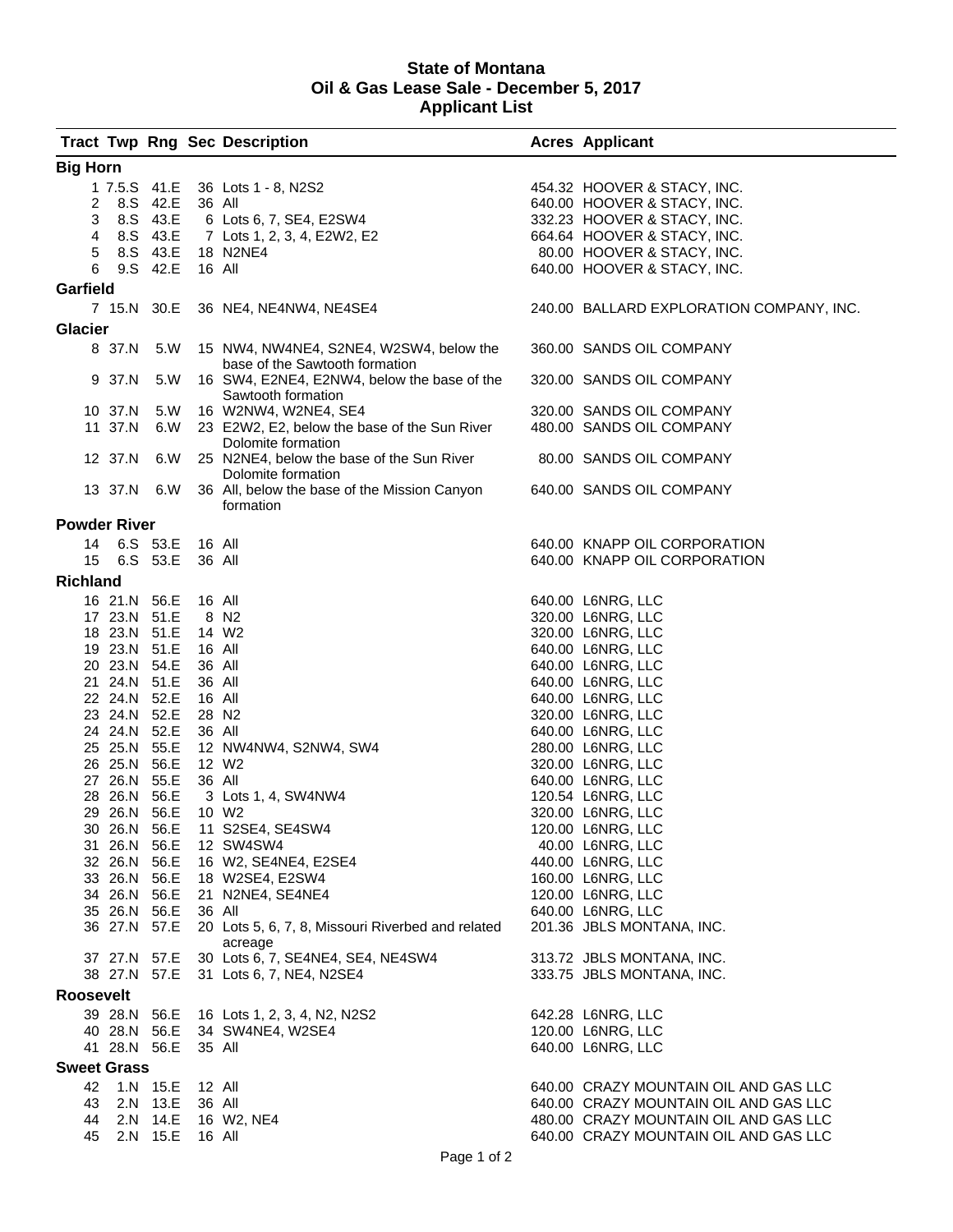#### **State of Montana Oil & Gas Lease Sale - December 5, 2017 Applicant List**

|                     |              |              |        | <b>Tract Twp Rng Sec Description</b>                                      | <b>Acres Applicant</b>                   |
|---------------------|--------------|--------------|--------|---------------------------------------------------------------------------|------------------------------------------|
| <b>Big Horn</b>     |              |              |        |                                                                           |                                          |
|                     |              |              |        | 1 7.5.S 41.E 36 Lots 1 - 8, N2S2                                          | 454.32 HOOVER & STACY, INC.              |
| $2^{\circ}$         |              | 8.S 42.E     | 36 All |                                                                           | 640.00 HOOVER & STACY, INC.              |
| 3                   |              | 8.S 43.E     |        | 6 Lots 6, 7, SE4, E2SW4                                                   | 332.23 HOOVER & STACY, INC.              |
| 4                   |              | 8.S 43.E     |        | 7 Lots 1, 2, 3, 4, E2W2, E2                                               | 664.64 HOOVER & STACY, INC.              |
| 5                   |              |              |        | 8.S 43.E 18 N2NE4                                                         | 80.00 HOOVER & STACY, INC.               |
| 6                   |              | 9.S 42.E     | 16 All |                                                                           | 640.00 HOOVER & STACY, INC.              |
| Garfield            |              |              |        |                                                                           |                                          |
|                     |              |              |        | 7 15.N 30.E 36 NE4, NE4NW4, NE4SE4                                        | 240.00 BALLARD EXPLORATION COMPANY, INC. |
| <b>Glacier</b>      |              |              |        |                                                                           |                                          |
|                     | 8 37.N       | 5.W          |        | 15 NW4, NW4NE4, S2NE4, W2SW4, below the<br>base of the Sawtooth formation | 360.00 SANDS OIL COMPANY                 |
|                     | 9 37.N       | 5.W          |        | 16 SW4, E2NE4, E2NW4, below the base of the<br>Sawtooth formation         | 320.00 SANDS OIL COMPANY                 |
|                     | 10 37.N      | 5.W          |        | 16 W2NW4, W2NE4, SE4                                                      | 320.00 SANDS OIL COMPANY                 |
|                     | 11 37.N      | 6.W          |        | 23 E2W2, E2, below the base of the Sun River<br>Dolomite formation        | 480.00 SANDS OIL COMPANY                 |
|                     | 12 37.N      | 6.W          |        | 25 N2NE4, below the base of the Sun River<br>Dolomite formation           | 80.00 SANDS OIL COMPANY                  |
|                     |              | 13 37.N 6.W  |        | 36 All, below the base of the Mission Canyon<br>formation                 | 640.00 SANDS OIL COMPANY                 |
| <b>Powder River</b> |              |              |        |                                                                           |                                          |
| 14                  |              | 6.S 53.E     | 16 All |                                                                           | 640.00 KNAPP OIL CORPORATION             |
| 15 <sub>1</sub>     |              | 6.S 53.E     | 36 All |                                                                           | 640.00 KNAPP OIL CORPORATION             |
| <b>Richland</b>     |              |              |        |                                                                           |                                          |
|                     | 16 21.N 56.E |              | 16 All |                                                                           | 640.00 L6NRG, LLC                        |
|                     | 17 23.N 51.E |              | 8 N2   |                                                                           | 320.00 L6NRG, LLC                        |
|                     | 18 23.N 51.E |              | 14 W2  |                                                                           | 320.00 L6NRG, LLC                        |
|                     | 19 23.N 51.E |              | 16 All |                                                                           | 640.00 L6NRG, LLC                        |
|                     | 20 23.N 54.E |              | 36 All |                                                                           | 640.00 L6NRG, LLC                        |
|                     | 21 24.N 51.E |              | 36 All |                                                                           | 640.00 L6NRG, LLC                        |
|                     |              | 22 24.N 52.E | 16 All |                                                                           | 640.00 L6NRG, LLC                        |
|                     | 23 24.N 52.E |              | 28 N2  |                                                                           | 320.00 L6NRG, LLC                        |
|                     | 24 24.N 52.E |              | 36 All |                                                                           | 640.00 L6NRG, LLC                        |
|                     | 25 25.N 55.E |              |        | 12 NW4NW4, S2NW4, SW4                                                     | 280.00 L6NRG, LLC                        |
|                     | 26 25.N 56.E |              | 12 W2  |                                                                           | 320.00 L6NRG, LLC                        |
|                     | 27 26.N 55.E |              | 36 All |                                                                           | 640.00 L6NRG, LLC                        |
|                     | 28 26.N 56.E |              |        | 3 Lots 1, 4, SW4NW4                                                       | 120.54 L6NRG, LLC                        |
|                     | 29 26.N 56.E |              |        | 10 W <sub>2</sub>                                                         | 320.00 L6NRG, LLC                        |
|                     | 30 26.N 56.E |              |        | 11 S2SE4, SE4SW4                                                          | 120.00 L6NRG, LLC                        |
|                     | 31 26.N 56.E |              |        | 12 SW4SW4                                                                 | 40.00 L6NRG, LLC                         |
|                     | 32 26.N 56.E |              |        | 16 W2, SE4NE4, E2SE4                                                      | 440.00 L6NRG, LLC                        |
|                     | 33 26.N 56.E |              |        | 18 W2SE4, E2SW4                                                           | 160.00 L6NRG, LLC                        |
|                     |              | 34 26.N 56.E |        | 21 N2NE4, SE4NE4                                                          | 120.00 L6NRG, LLC                        |
|                     |              | 35 26.N 56.E | 36 All |                                                                           | 640.00 L6NRG, LLC                        |
|                     |              | 36 27.N 57.E |        | 20 Lots 5, 6, 7, 8, Missouri Riverbed and related<br>acreage              | 201.36 JBLS MONTANA, INC.                |
|                     |              | 37 27.N 57.E |        | 30 Lots 6, 7, SE4NE4, SE4, NE4SW4                                         | 313.72 JBLS MONTANA, INC.                |
|                     |              | 38 27.N 57.E |        | 31 Lots 6, 7, NE4, N2SE4                                                  | 333.75 JBLS MONTANA, INC.                |
| <b>Roosevelt</b>    |              |              |        |                                                                           |                                          |
|                     |              | 39 28.N 56.E |        | 16 Lots 1, 2, 3, 4, N2, N2S2                                              | 642.28 L6NRG, LLC                        |
|                     | 40 28.N 56.E |              |        | 34 SW4NE4, W2SE4                                                          | 120.00 L6NRG, LLC                        |
|                     | 41 28.N 56.E |              | 35 All |                                                                           | 640.00 L6NRG, LLC                        |
| <b>Sweet Grass</b>  |              |              |        |                                                                           |                                          |
| 42                  | 1.N 15.E     |              | 12 All |                                                                           | 640.00 CRAZY MOUNTAIN OIL AND GAS LLC    |
| 43                  |              | 2.N 13.E     | 36 All |                                                                           | 640.00 CRAZY MOUNTAIN OIL AND GAS LLC    |
| 44                  |              | 2.N 14.E     |        | 16 W2, NE4                                                                | 480.00 CRAZY MOUNTAIN OIL AND GAS LLC    |
| 45                  |              | 2.N 15.E     | 16 All |                                                                           | 640.00 CRAZY MOUNTAIN OIL AND GAS LLC    |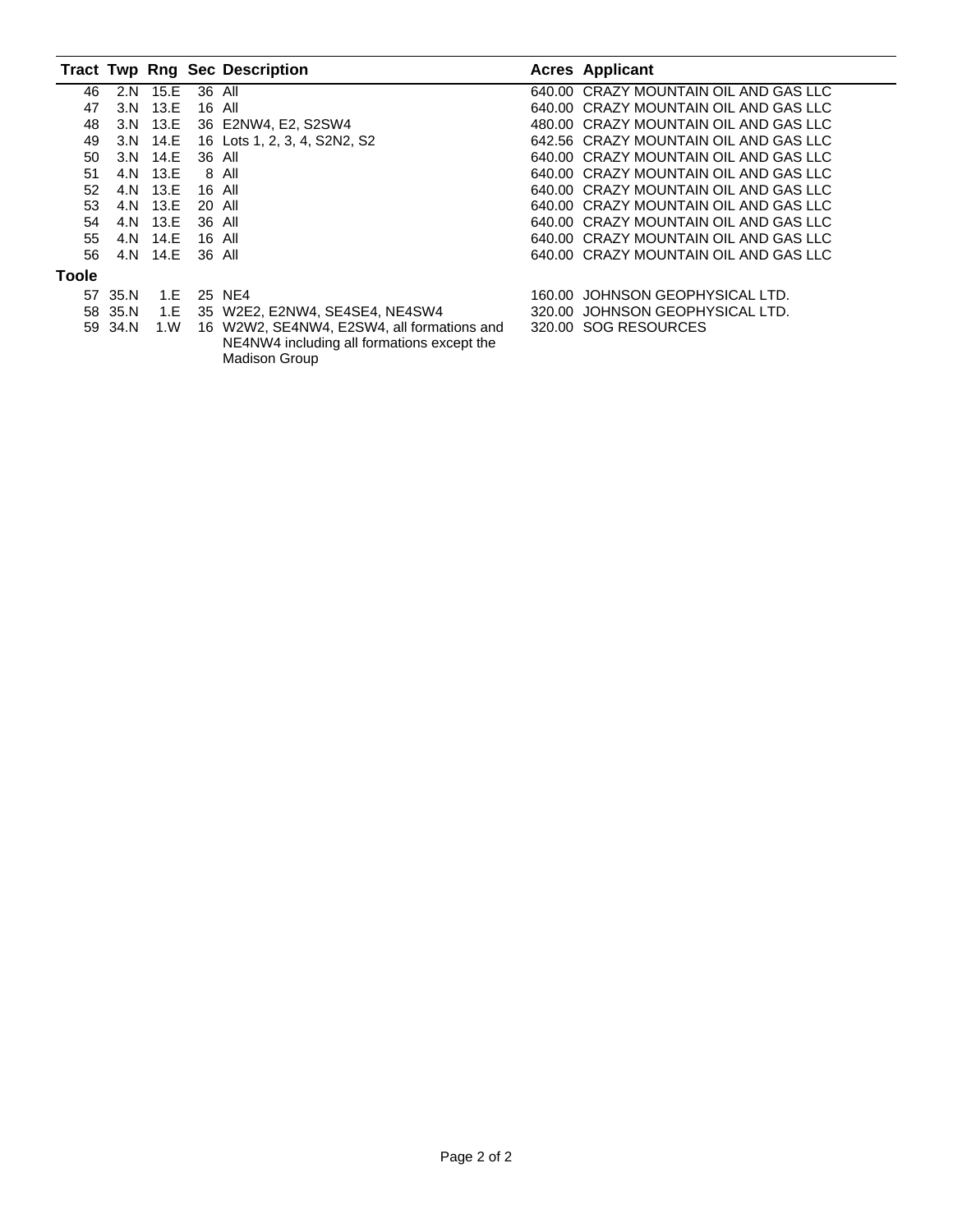|       |      |          |        | <b>Tract Twp Rng Sec Description</b>                                                                             |        | <b>Acres Applicant</b>                |
|-------|------|----------|--------|------------------------------------------------------------------------------------------------------------------|--------|---------------------------------------|
| 46    | 2.N  | 15.E     | 36 All |                                                                                                                  |        | 640.00 CRAZY MOUNTAIN OIL AND GAS LLC |
| 47    | 3.N  | 13.E     |        | 16 All                                                                                                           |        | 640.00 CRAZY MOUNTAIN OIL AND GAS LLC |
| 48    |      | 3.N 13.E |        | 36 E2NW4, E2, S2SW4                                                                                              |        | 480.00 CRAZY MOUNTAIN OIL AND GAS LLC |
| 49    | 3.N  | 14.E     |        | 16 Lots 1, 2, 3, 4, S2N2, S2                                                                                     |        | 642.56 CRAZY MOUNTAIN OIL AND GAS LLC |
| 50    | 3.N  | 14.E     |        | 36 All                                                                                                           |        | 640.00 CRAZY MOUNTAIN OIL AND GAS LLC |
| 51    |      | 4.N 13.E |        | 8 All                                                                                                            |        | 640.00 CRAZY MOUNTAIN OIL AND GAS LLC |
| 52    |      | 4.N 13.E | 16 All |                                                                                                                  |        | 640.00 CRAZY MOUNTAIN OIL AND GAS LLC |
| 53    |      | 4.N 13.E | 20 All |                                                                                                                  |        | 640.00 CRAZY MOUNTAIN OIL AND GAS LLC |
| 54    | 4.N  | 13.E     | 36 All |                                                                                                                  |        | 640.00 CRAZY MOUNTAIN OIL AND GAS LLC |
| 55    | 4.N  | 14.E     | 16 All |                                                                                                                  |        | 640.00 CRAZY MOUNTAIN OIL AND GAS LLC |
| 56    |      | 4.N 14.E | 36 All |                                                                                                                  |        | 640.00 CRAZY MOUNTAIN OIL AND GAS LLC |
| Toole |      |          |        |                                                                                                                  |        |                                       |
| 57    | 35.N | 1.E      |        | 25 NE4                                                                                                           | 160.00 | JOHNSON GEOPHYSICAL LTD.              |
| 58    | 35.N | 1.E      |        | 35 W2E2, E2NW4, SE4SE4, NE4SW4                                                                                   |        | 320.00 JOHNSON GEOPHYSICAL LTD.       |
| 59    | 34.N | 1. W     |        | 16 W2W2, SE4NW4, E2SW4, all formations and<br>NE4NW4 including all formations except the<br><b>Madison Group</b> |        | 320.00 SOG RESOURCES                  |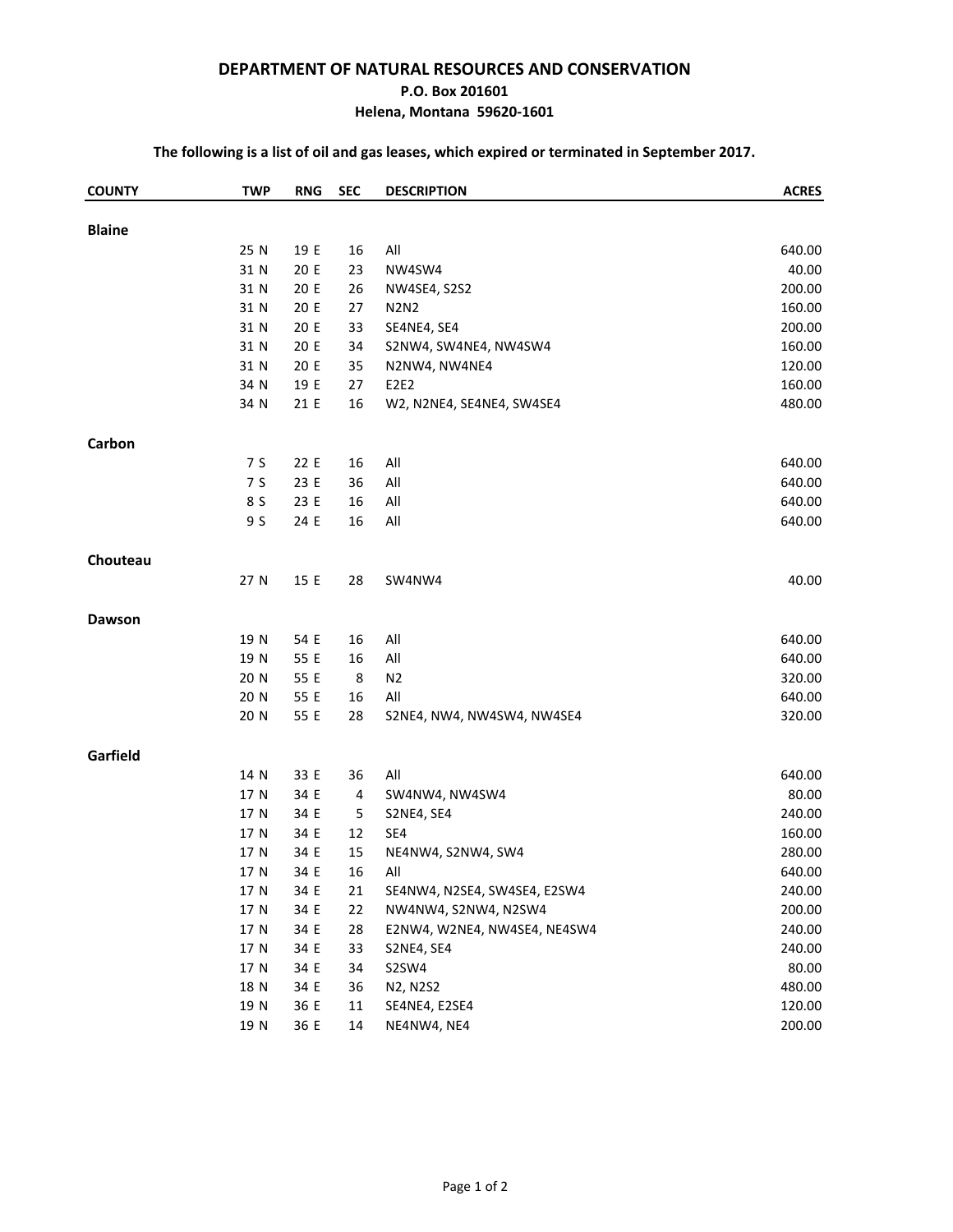#### **DEPARTMENT OF NATURAL RESOURCES AND CONSERVATION**

#### **P.O. Box 201601**

#### **Helena, Montana 59620-1601**

#### **The following is a list of oil and gas leases, which expired or terminated in September 2017.**

| <b>Blaine</b><br>640.00<br>25 N<br>19 E<br>16<br>All<br>20 E<br>23<br>40.00<br>31 N<br>NW4SW4<br>20 E<br>200.00<br>31 N<br>26<br><b>NW4SE4, S2S2</b><br>20 E<br>160.00<br>31 N<br>27<br><b>N2N2</b><br>20 E<br>200.00<br>31 N<br>33<br>SE4NE4, SE4<br>20 E<br>160.00<br>31 N<br>34<br>S2NW4, SW4NE4, NW4SW4<br>20 E<br>120.00<br>31 N<br>35<br>N2NW4, NW4NE4<br>34 N<br>19 E<br>160.00<br>27<br>E2E2<br>21 E<br>480.00<br>34 N<br>16<br>W2, N2NE4, SE4NE4, SW4SE4<br>Carbon<br>7 S<br>22 E<br>All<br>640.00<br>16<br>7 S<br>23 E<br>36<br>All<br>640.00<br>23 E<br>All<br>640.00<br>8 S<br>16<br>9 S<br>24 E<br>16<br>All<br>640.00 |
|-------------------------------------------------------------------------------------------------------------------------------------------------------------------------------------------------------------------------------------------------------------------------------------------------------------------------------------------------------------------------------------------------------------------------------------------------------------------------------------------------------------------------------------------------------------------------------------------------------------------------------------|
|                                                                                                                                                                                                                                                                                                                                                                                                                                                                                                                                                                                                                                     |
|                                                                                                                                                                                                                                                                                                                                                                                                                                                                                                                                                                                                                                     |
|                                                                                                                                                                                                                                                                                                                                                                                                                                                                                                                                                                                                                                     |
|                                                                                                                                                                                                                                                                                                                                                                                                                                                                                                                                                                                                                                     |
|                                                                                                                                                                                                                                                                                                                                                                                                                                                                                                                                                                                                                                     |
|                                                                                                                                                                                                                                                                                                                                                                                                                                                                                                                                                                                                                                     |
|                                                                                                                                                                                                                                                                                                                                                                                                                                                                                                                                                                                                                                     |
|                                                                                                                                                                                                                                                                                                                                                                                                                                                                                                                                                                                                                                     |
|                                                                                                                                                                                                                                                                                                                                                                                                                                                                                                                                                                                                                                     |
|                                                                                                                                                                                                                                                                                                                                                                                                                                                                                                                                                                                                                                     |
|                                                                                                                                                                                                                                                                                                                                                                                                                                                                                                                                                                                                                                     |
|                                                                                                                                                                                                                                                                                                                                                                                                                                                                                                                                                                                                                                     |
|                                                                                                                                                                                                                                                                                                                                                                                                                                                                                                                                                                                                                                     |
|                                                                                                                                                                                                                                                                                                                                                                                                                                                                                                                                                                                                                                     |
|                                                                                                                                                                                                                                                                                                                                                                                                                                                                                                                                                                                                                                     |
| Chouteau                                                                                                                                                                                                                                                                                                                                                                                                                                                                                                                                                                                                                            |
| 40.00<br>27 N<br>15 E<br>28<br>SW4NW4                                                                                                                                                                                                                                                                                                                                                                                                                                                                                                                                                                                               |
| <b>Dawson</b>                                                                                                                                                                                                                                                                                                                                                                                                                                                                                                                                                                                                                       |
| 640.00<br>19 N<br>54 E<br>16<br>All                                                                                                                                                                                                                                                                                                                                                                                                                                                                                                                                                                                                 |
| 640.00<br>19 N<br>55 E<br>16<br>All                                                                                                                                                                                                                                                                                                                                                                                                                                                                                                                                                                                                 |
| 8<br>320.00<br>20 N<br>55 E<br>N <sub>2</sub>                                                                                                                                                                                                                                                                                                                                                                                                                                                                                                                                                                                       |
| 20 N<br>55 E<br>640.00<br>16<br>All                                                                                                                                                                                                                                                                                                                                                                                                                                                                                                                                                                                                 |
| 320.00<br>20 N<br>55 E<br>28<br>S2NE4, NW4, NW4SW4, NW4SE4                                                                                                                                                                                                                                                                                                                                                                                                                                                                                                                                                                          |
| Garfield                                                                                                                                                                                                                                                                                                                                                                                                                                                                                                                                                                                                                            |
| 640.00<br>14 N<br>33 E<br>36<br>All                                                                                                                                                                                                                                                                                                                                                                                                                                                                                                                                                                                                 |
| 34 E<br>80.00<br>17 N<br>4<br>SW4NW4, NW4SW4                                                                                                                                                                                                                                                                                                                                                                                                                                                                                                                                                                                        |
| 34 E<br>240.00<br>17 N<br>5<br>S2NE4, SE4                                                                                                                                                                                                                                                                                                                                                                                                                                                                                                                                                                                           |
| 34 E<br>160.00<br>17 N<br>12<br>SE4                                                                                                                                                                                                                                                                                                                                                                                                                                                                                                                                                                                                 |
| 280.00<br>17 N<br>34 E<br>15<br>NE4NW4, S2NW4, SW4                                                                                                                                                                                                                                                                                                                                                                                                                                                                                                                                                                                  |
| 34 E<br>16<br>All<br>640.00<br>17 N                                                                                                                                                                                                                                                                                                                                                                                                                                                                                                                                                                                                 |
| 34 E<br>240.00<br>17 N<br>21<br>SE4NW4, N2SE4, SW4SE4, E2SW4                                                                                                                                                                                                                                                                                                                                                                                                                                                                                                                                                                        |
| 34 E<br>200.00<br>17 N<br>22<br>NW4NW4, S2NW4, N2SW4                                                                                                                                                                                                                                                                                                                                                                                                                                                                                                                                                                                |
| 240.00<br>17 N<br>34 E<br>28<br>E2NW4, W2NE4, NW4SE4, NE4SW4                                                                                                                                                                                                                                                                                                                                                                                                                                                                                                                                                                        |
| 34 E<br>240.00<br>17 N<br>33<br>S2NE4, SE4                                                                                                                                                                                                                                                                                                                                                                                                                                                                                                                                                                                          |
| 34 E<br>S2SW4<br>80.00<br>17 N<br>34                                                                                                                                                                                                                                                                                                                                                                                                                                                                                                                                                                                                |
| 34 E<br>480.00<br>18 N<br>36<br>N2, N2S2                                                                                                                                                                                                                                                                                                                                                                                                                                                                                                                                                                                            |
| 19 N<br>36 E<br>$11\,$<br>120.00<br>SE4NE4, E2SE4                                                                                                                                                                                                                                                                                                                                                                                                                                                                                                                                                                                   |
| 36 E<br>NE4NW4, NE4<br>200.00<br>19 N<br>14                                                                                                                                                                                                                                                                                                                                                                                                                                                                                                                                                                                         |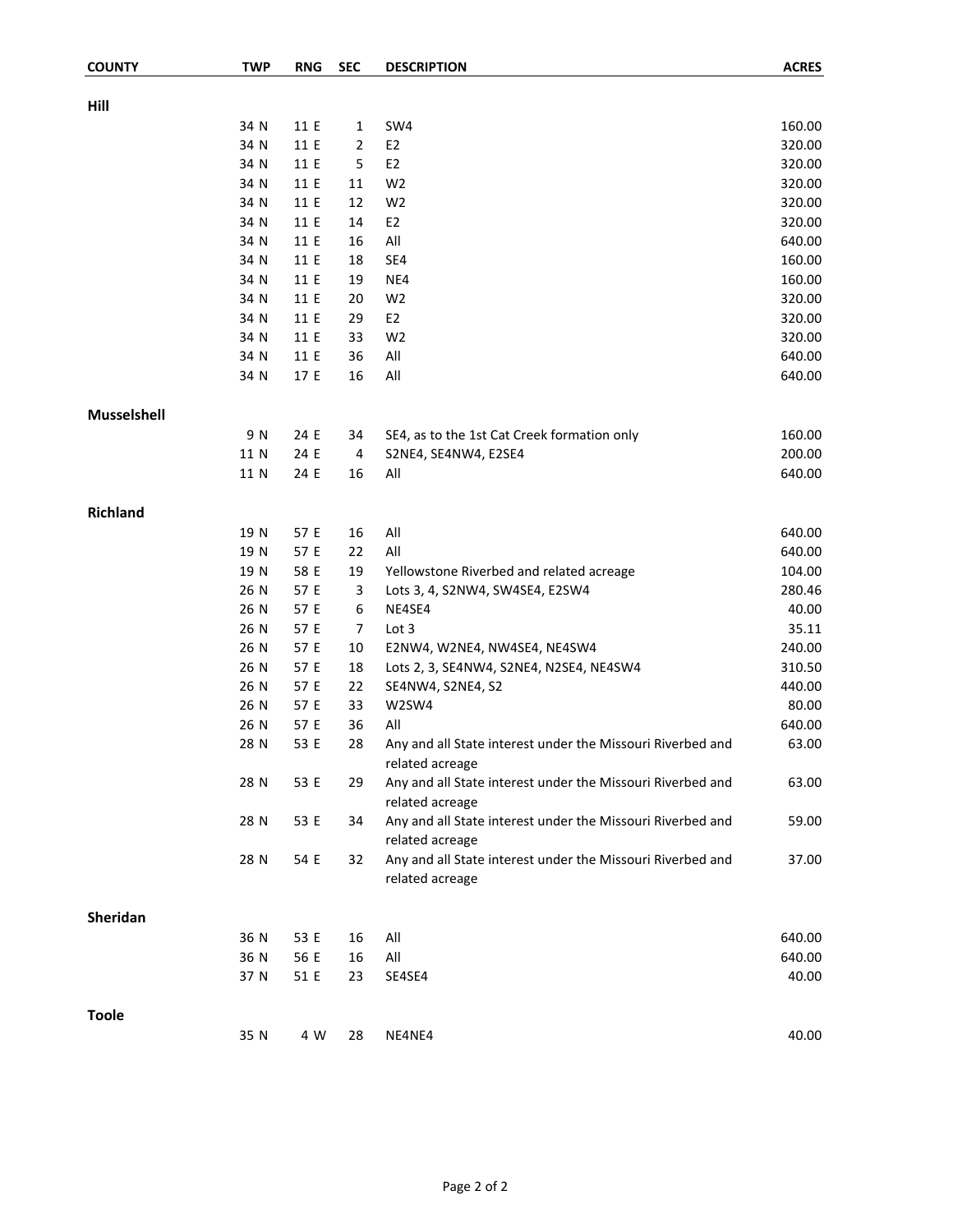| <b>COUNTY</b>      | <b>TWP</b> | <b>RNG</b> | <b>SEC</b>       | <b>DESCRIPTION</b>                                                            | <b>ACRES</b> |
|--------------------|------------|------------|------------------|-------------------------------------------------------------------------------|--------------|
|                    |            |            |                  |                                                                               |              |
| Hill               |            |            |                  |                                                                               |              |
|                    | 34 N       | 11 E       | 1                | SW4                                                                           | 160.00       |
|                    | 34 N       | 11 E       | 2                | E <sub>2</sub>                                                                | 320.00       |
|                    | 34 N       | 11 E       | 5                | E <sub>2</sub>                                                                | 320.00       |
|                    | 34 N       | 11 E       | 11               | W <sub>2</sub>                                                                | 320.00       |
|                    | 34 N       | 11 E       | 12               | W <sub>2</sub>                                                                | 320.00       |
|                    | 34 N       | 11 E       | 14               | E <sub>2</sub>                                                                | 320.00       |
|                    | 34 N       | 11 E       | 16               | All                                                                           | 640.00       |
|                    | 34 N       | 11 E       | 18               | SE4                                                                           | 160.00       |
|                    | 34 N       | 11 E       | 19               | NE4                                                                           | 160.00       |
|                    | 34 N       | 11 E       | 20               | W <sub>2</sub>                                                                | 320.00       |
|                    | 34 N       | 11 E       | 29               | E <sub>2</sub>                                                                | 320.00       |
|                    | 34 N       | 11 E       | 33               | W <sub>2</sub>                                                                | 320.00       |
|                    | 34 N       | 11 E       | 36               | All                                                                           | 640.00       |
|                    | 34 N       | 17 E       | 16               | All                                                                           | 640.00       |
| <b>Musselshell</b> |            |            |                  |                                                                               |              |
|                    | 9 N        | 24 E       | 34               | SE4, as to the 1st Cat Creek formation only                                   | 160.00       |
|                    | 11 N       | 24 E       | 4                | S2NE4, SE4NW4, E2SE4                                                          | 200.00       |
|                    | 11 N       | 24 E       | 16               | All                                                                           | 640.00       |
| <b>Richland</b>    |            |            |                  |                                                                               |              |
|                    | 19 N       | 57 E       | 16               | All                                                                           | 640.00       |
|                    | 19 N       | 57 E       | 22               | All                                                                           | 640.00       |
|                    | 19 N       | 58 E       | 19               | Yellowstone Riverbed and related acreage                                      | 104.00       |
|                    | 26 N       | 57 E       | 3                | Lots 3, 4, S2NW4, SW4SE4, E2SW4                                               | 280.46       |
|                    | 26 N       | 57 E       | $\boldsymbol{6}$ | NE4SE4                                                                        | 40.00        |
|                    | 26 N       | 57 E       | $\overline{7}$   | Lot 3                                                                         | 35.11        |
|                    | 26 N       | 57 E       | 10               | E2NW4, W2NE4, NW4SE4, NE4SW4                                                  | 240.00       |
|                    | 26 N       | 57 E       | 18               | Lots 2, 3, SE4NW4, S2NE4, N2SE4, NE4SW4                                       | 310.50       |
|                    | 26 N       | 57 E       | 22               | SE4NW4, S2NE4, S2                                                             | 440.00       |
|                    | 26 N       | 57 E       | 33               | W2SW4                                                                         | 80.00        |
|                    | 26 N       | 57 E       | 36               | All                                                                           | 640.00       |
|                    | 28 N       | 53 E       | 28               | Any and all State interest under the Missouri Riverbed and<br>related acreage | 63.00        |
|                    | 28 N       | 53 E       | 29               | Any and all State interest under the Missouri Riverbed and<br>related acreage | 63.00        |
|                    | 28 N       | 53 E       | 34               | Any and all State interest under the Missouri Riverbed and<br>related acreage | 59.00        |
|                    | 28 N       | 54 E       | 32               | Any and all State interest under the Missouri Riverbed and<br>related acreage | 37.00        |
| <b>Sheridan</b>    |            |            |                  |                                                                               |              |
|                    | 36 N       | 53 E       | 16               | All                                                                           | 640.00       |
|                    | 36 N       | 56 E       | 16               | All                                                                           | 640.00       |
|                    | 37 N       | 51 E       | 23               | SE4SE4                                                                        | 40.00        |
| <b>Toole</b>       |            |            |                  |                                                                               |              |
|                    | 35 N       | 4 W        | 28               | NE4NE4                                                                        | 40.00        |